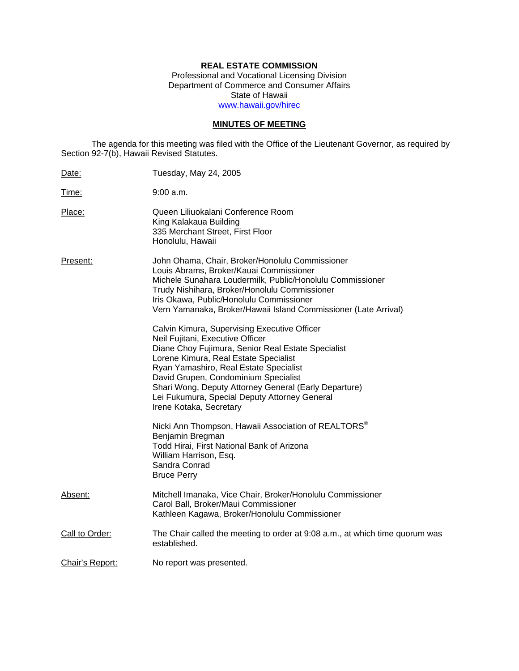# **REAL ESTATE COMMISSION**

Professional and Vocational Licensing Division Department of Commerce and Consumer Affairs State of Hawaii www.hawaii.gov/hirec

# **MINUTES OF MEETING**

The agenda for this meeting was filed with the Office of the Lieutenant Governor, as required by Section 92-7(b), Hawaii Revised Statutes.

| Date:           | Tuesday, May 24, 2005                                                                                                                                                                                                                                                                                                                                                                                  |
|-----------------|--------------------------------------------------------------------------------------------------------------------------------------------------------------------------------------------------------------------------------------------------------------------------------------------------------------------------------------------------------------------------------------------------------|
| Time:           | 9:00 a.m.                                                                                                                                                                                                                                                                                                                                                                                              |
| Place:          | Queen Liliuokalani Conference Room<br>King Kalakaua Building<br>335 Merchant Street, First Floor<br>Honolulu, Hawaii                                                                                                                                                                                                                                                                                   |
| Present:        | John Ohama, Chair, Broker/Honolulu Commissioner<br>Louis Abrams, Broker/Kauai Commissioner<br>Michele Sunahara Loudermilk, Public/Honolulu Commissioner<br>Trudy Nishihara, Broker/Honolulu Commissioner<br>Iris Okawa, Public/Honolulu Commissioner<br>Vern Yamanaka, Broker/Hawaii Island Commissioner (Late Arrival)                                                                                |
|                 | Calvin Kimura, Supervising Executive Officer<br>Neil Fujitani, Executive Officer<br>Diane Choy Fujimura, Senior Real Estate Specialist<br>Lorene Kimura, Real Estate Specialist<br>Ryan Yamashiro, Real Estate Specialist<br>David Grupen, Condominium Specialist<br>Shari Wong, Deputy Attorney General (Early Departure)<br>Lei Fukumura, Special Deputy Attorney General<br>Irene Kotaka, Secretary |
|                 | Nicki Ann Thompson, Hawaii Association of REALTORS <sup>®</sup><br>Benjamin Bregman<br>Todd Hirai, First National Bank of Arizona<br>William Harrison, Esq.<br>Sandra Conrad<br><b>Bruce Perry</b>                                                                                                                                                                                                     |
| Absent:         | Mitchell Imanaka, Vice Chair, Broker/Honolulu Commissioner<br>Carol Ball, Broker/Maui Commissioner<br>Kathleen Kagawa, Broker/Honolulu Commissioner                                                                                                                                                                                                                                                    |
| Call to Order:  | The Chair called the meeting to order at 9:08 a.m., at which time quorum was<br>established.                                                                                                                                                                                                                                                                                                           |
| Chair's Report: | No report was presented.                                                                                                                                                                                                                                                                                                                                                                               |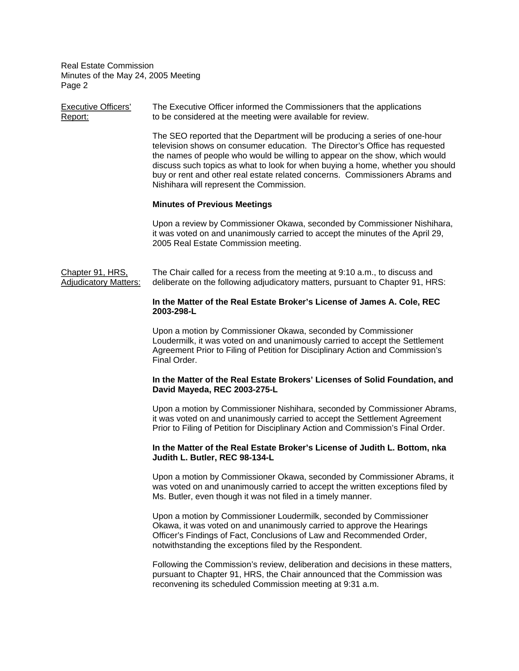| <b>Executive Officers'</b><br>Report:            | The Executive Officer informed the Commissioners that the applications<br>to be considered at the meeting were available for review.                                                                                                                                                                                                                                                                                                                    |
|--------------------------------------------------|---------------------------------------------------------------------------------------------------------------------------------------------------------------------------------------------------------------------------------------------------------------------------------------------------------------------------------------------------------------------------------------------------------------------------------------------------------|
|                                                  | The SEO reported that the Department will be producing a series of one-hour<br>television shows on consumer education. The Director's Office has requested<br>the names of people who would be willing to appear on the show, which would<br>discuss such topics as what to look for when buying a home, whether you should<br>buy or rent and other real estate related concerns. Commissioners Abrams and<br>Nishihara will represent the Commission. |
|                                                  | <b>Minutes of Previous Meetings</b>                                                                                                                                                                                                                                                                                                                                                                                                                     |
|                                                  | Upon a review by Commissioner Okawa, seconded by Commissioner Nishihara,<br>it was voted on and unanimously carried to accept the minutes of the April 29,<br>2005 Real Estate Commission meeting.                                                                                                                                                                                                                                                      |
| Chapter 91, HRS,<br><b>Adjudicatory Matters:</b> | The Chair called for a recess from the meeting at 9:10 a.m., to discuss and<br>deliberate on the following adjudicatory matters, pursuant to Chapter 91, HRS:                                                                                                                                                                                                                                                                                           |
|                                                  | In the Matter of the Real Estate Broker's License of James A. Cole, REC<br>2003-298-L                                                                                                                                                                                                                                                                                                                                                                   |
|                                                  | Upon a motion by Commissioner Okawa, seconded by Commissioner<br>Loudermilk, it was voted on and unanimously carried to accept the Settlement<br>Agreement Prior to Filing of Petition for Disciplinary Action and Commission's<br>Final Order.                                                                                                                                                                                                         |
|                                                  | In the Matter of the Real Estate Brokers' Licenses of Solid Foundation, and<br>David Mayeda, REC 2003-275-L                                                                                                                                                                                                                                                                                                                                             |
|                                                  | Upon a motion by Commissioner Nishihara, seconded by Commissioner Abrams,<br>it was voted on and unanimously carried to accept the Settlement Agreement<br>Prior to Filing of Petition for Disciplinary Action and Commission's Final Order.                                                                                                                                                                                                            |
|                                                  | In the Matter of the Real Estate Broker's License of Judith L. Bottom, nka<br>Judith L. Butler, REC 98-134-L                                                                                                                                                                                                                                                                                                                                            |
|                                                  | Upon a motion by Commissioner Okawa, seconded by Commissioner Abrams, it<br>was voted on and unanimously carried to accept the written exceptions filed by<br>Ms. Butler, even though it was not filed in a timely manner.                                                                                                                                                                                                                              |
|                                                  | Upon a motion by Commissioner Loudermilk, seconded by Commissioner<br>Okawa, it was voted on and unanimously carried to approve the Hearings<br>Officer's Findings of Fact, Conclusions of Law and Recommended Order,                                                                                                                                                                                                                                   |

notwithstanding the exceptions filed by the Respondent.

Following the Commission's review, deliberation and decisions in these matters, pursuant to Chapter 91, HRS, the Chair announced that the Commission was reconvening its scheduled Commission meeting at 9:31 a.m.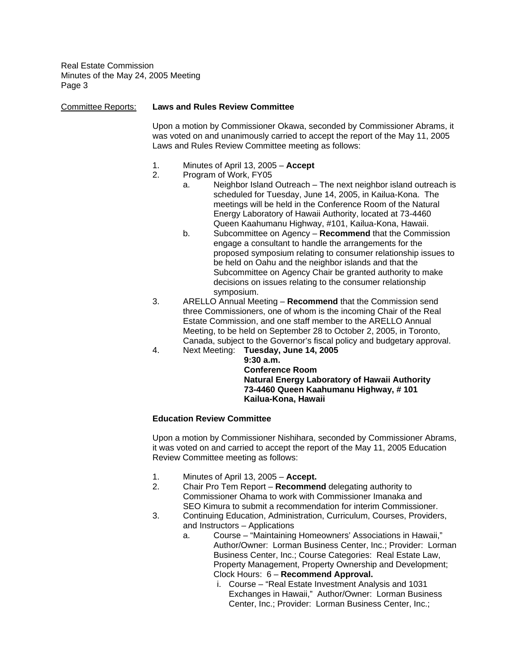| <b>Committee Reports:</b> | <b>Laws and Rules Review Committee</b>                                                                                                                                                                                                                                                                                                                                                                                                                                                                                                                                                                                                                                                                                                                                                        |  |  |
|---------------------------|-----------------------------------------------------------------------------------------------------------------------------------------------------------------------------------------------------------------------------------------------------------------------------------------------------------------------------------------------------------------------------------------------------------------------------------------------------------------------------------------------------------------------------------------------------------------------------------------------------------------------------------------------------------------------------------------------------------------------------------------------------------------------------------------------|--|--|
|                           | Upon a motion by Commissioner Okawa, seconded by Commissioner Abrams, it<br>was voted on and unanimously carried to accept the report of the May 11, 2005<br>Laws and Rules Review Committee meeting as follows:                                                                                                                                                                                                                                                                                                                                                                                                                                                                                                                                                                              |  |  |
|                           | 1.<br>Minutes of April 13, 2005 - Accept<br>2.<br>Program of Work, FY05<br>Neighbor Island Outreach - The next neighbor island outreach is<br>a.<br>scheduled for Tuesday, June 14, 2005, in Kailua-Kona. The<br>meetings will be held in the Conference Room of the Natural<br>Energy Laboratory of Hawaii Authority, located at 73-4460<br>Queen Kaahumanu Highway, #101, Kailua-Kona, Hawaii.<br>b.<br>Subcommittee on Agency - Recommend that the Commission<br>engage a consultant to handle the arrangements for the<br>proposed symposium relating to consumer relationship issues to<br>be held on Oahu and the neighbor islands and that the<br>Subcommittee on Agency Chair be granted authority to make<br>decisions on issues relating to the consumer relationship<br>symposium. |  |  |
|                           | 3.<br>ARELLO Annual Meeting - Recommend that the Commission send<br>three Commissioners, one of whom is the incoming Chair of the Real<br>Estate Commission, and one staff member to the ARELLO Annual<br>Meeting, to be held on September 28 to October 2, 2005, in Toronto,<br>Canada, subject to the Governor's fiscal policy and budgetary approval.                                                                                                                                                                                                                                                                                                                                                                                                                                      |  |  |
|                           | Next Meeting: Tuesday, June 14, 2005<br>4.<br>9:30a.m.<br><b>Conference Room</b><br><b>Natural Energy Laboratory of Hawaii Authority</b><br>73-4460 Queen Kaahumanu Highway, #101<br>Kailua-Kona, Hawaii                                                                                                                                                                                                                                                                                                                                                                                                                                                                                                                                                                                      |  |  |

### **Education Review Committee**

Upon a motion by Commissioner Nishihara, seconded by Commissioner Abrams, it was voted on and carried to accept the report of the May 11, 2005 Education Review Committee meeting as follows:

- 1. Minutes of April 13, 2005 **Accept.**
- 2. Chair Pro Tem Report **Recommend** delegating authority to Commissioner Ohama to work with Commissioner Imanaka and SEO Kimura to submit a recommendation for interim Commissioner.
- 3. Continuing Education, Administration, Curriculum, Courses, Providers, and Instructors – Applications
	- a. Course "Maintaining Homeowners' Associations in Hawaii," Author/Owner: Lorman Business Center, Inc.; Provider: Lorman Business Center, Inc.; Course Categories: Real Estate Law, Property Management, Property Ownership and Development; Clock Hours: 6 – **Recommend Approval.** 
		- i. Course "Real Estate Investment Analysis and 1031 Exchanges in Hawaii," Author/Owner: Lorman Business Center, Inc.; Provider: Lorman Business Center, Inc.;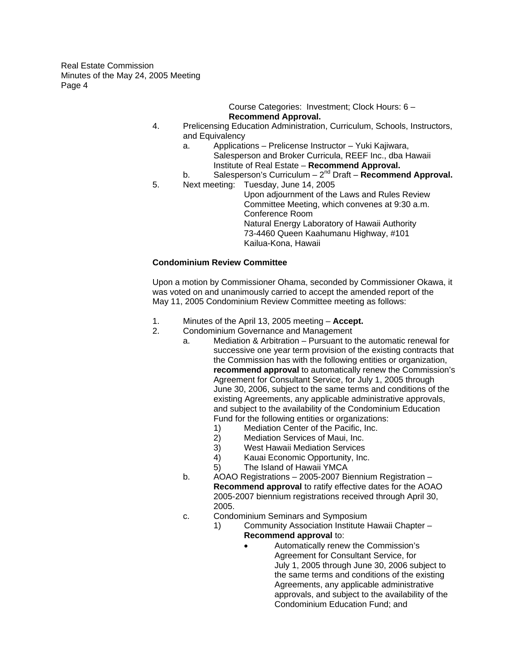> Course Categories: Investment; Clock Hours: 6 – **Recommend Approval.**

- 4. Prelicensing Education Administration, Curriculum, Schools, Instructors, and Equivalency
	- a. Applications Prelicense Instructor Yuki Kajiwara, Salesperson and Broker Curricula, REEF Inc., dba Hawaii Institute of Real Estate – **Recommend Approval.**
	- b. Salesperson's Curriculum 2nd Draft **Recommend Approval.**
- 5. Next meeting: Tuesday, June 14, 2005 Upon adjournment of the Laws and Rules Review Committee Meeting, which convenes at 9:30 a.m. Conference Room Natural Energy Laboratory of Hawaii Authority 73-4460 Queen Kaahumanu Highway, #101 Kailua-Kona, Hawaii

# **Condominium Review Committee**

Upon a motion by Commissioner Ohama, seconded by Commissioner Okawa, it was voted on and unanimously carried to accept the amended report of the May 11, 2005 Condominium Review Committee meeting as follows:

- 1. Minutes of the April 13, 2005 meeting **Accept.**
- 2. Condominium Governance and Management
	- a. Mediation & Arbitration Pursuant to the automatic renewal for successive one year term provision of the existing contracts that the Commission has with the following entities or organization, **recommend approval** to automatically renew the Commission's Agreement for Consultant Service, for July 1, 2005 through June 30, 2006, subject to the same terms and conditions of the existing Agreements, any applicable administrative approvals, and subject to the availability of the Condominium Education Fund for the following entities or organizations:
		- 1) Mediation Center of the Pacific, Inc.<br>2) Mediation Services of Maui, Inc.
		- Mediation Services of Maui, Inc.
		- 3) West Hawaii Mediation Services
		- 4) Kauai Economic Opportunity, Inc.
		- 5) The Island of Hawaii YMCA
	- b. AOAO Registrations 2005-2007 Biennium Registration **Recommend approval** to ratify effective dates for the AOAO 2005-2007 biennium registrations received through April 30, 2005.
	- c. Condominium Seminars and Symposium
		- 1) Community Association Institute Hawaii Chapter **Recommend approval** to:
			- Automatically renew the Commission's Agreement for Consultant Service, for July 1, 2005 through June 30, 2006 subject to the same terms and conditions of the existing Agreements, any applicable administrative approvals, and subject to the availability of the Condominium Education Fund; and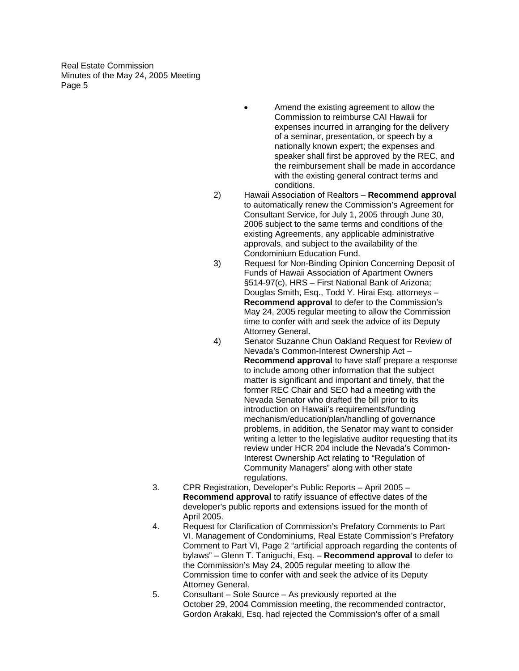- Amend the existing agreement to allow the Commission to reimburse CAI Hawaii for expenses incurred in arranging for the delivery of a seminar, presentation, or speech by a nationally known expert; the expenses and speaker shall first be approved by the REC, and the reimbursement shall be made in accordance with the existing general contract terms and conditions.
- 2) Hawaii Association of Realtors **Recommend approval**  to automatically renew the Commission's Agreement for Consultant Service, for July 1, 2005 through June 30, 2006 subject to the same terms and conditions of the existing Agreements, any applicable administrative approvals, and subject to the availability of the Condominium Education Fund.
- 3) Request for Non-Binding Opinion Concerning Deposit of Funds of Hawaii Association of Apartment Owners §514-97(c), HRS – First National Bank of Arizona; Douglas Smith, Esq., Todd Y. Hirai Esq. attorneys – **Recommend approval** to defer to the Commission's May 24, 2005 regular meeting to allow the Commission time to confer with and seek the advice of its Deputy Attorney General.
- 4) Senator Suzanne Chun Oakland Request for Review of Nevada's Common-Interest Ownership Act – **Recommend approval** to have staff prepare a response to include among other information that the subject matter is significant and important and timely, that the former REC Chair and SEO had a meeting with the Nevada Senator who drafted the bill prior to its introduction on Hawaii's requirements/funding mechanism/education/plan/handling of governance problems, in addition, the Senator may want to consider writing a letter to the legislative auditor requesting that its review under HCR 204 include the Nevada's Common-Interest Ownership Act relating to "Regulation of Community Managers" along with other state regulations.
- 3. CPR Registration, Developer's Public Reports April 2005 **Recommend approval** to ratify issuance of effective dates of the developer's public reports and extensions issued for the month of April 2005.
- 4. Request for Clarification of Commission's Prefatory Comments to Part VI. Management of Condominiums, Real Estate Commission's Prefatory Comment to Part VI, Page 2 "artificial approach regarding the contents of bylaws" – Glenn T. Taniguchi, Esq. – **Recommend approval** to defer to the Commission's May 24, 2005 regular meeting to allow the Commission time to confer with and seek the advice of its Deputy Attorney General.
- 5. Consultant Sole Source As previously reported at the October 29, 2004 Commission meeting, the recommended contractor, Gordon Arakaki, Esq. had rejected the Commission's offer of a small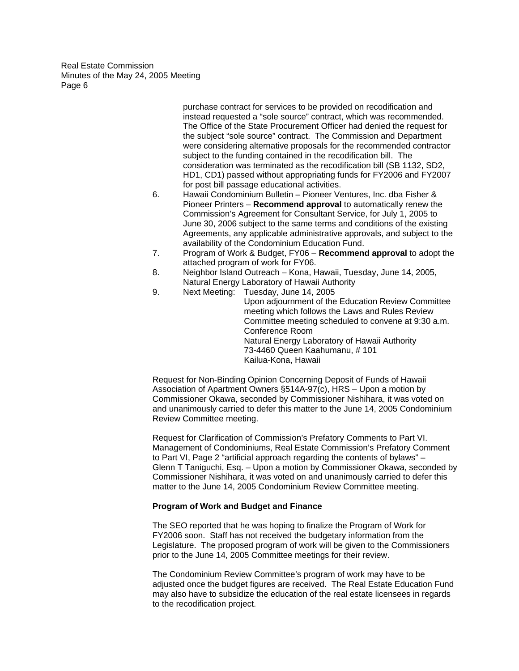> purchase contract for services to be provided on recodification and instead requested a "sole source" contract, which was recommended. The Office of the State Procurement Officer had denied the request for the subject "sole source" contract. The Commission and Department were considering alternative proposals for the recommended contractor subject to the funding contained in the recodification bill. The consideration was terminated as the recodification bill (SB 1132, SD2, HD1, CD1) passed without appropriating funds for FY2006 and FY2007 for post bill passage educational activities.

- 6. Hawaii Condominium Bulletin Pioneer Ventures, Inc. dba Fisher & Pioneer Printers – **Recommend approval** to automatically renew the Commission's Agreement for Consultant Service, for July 1, 2005 to June 30, 2006 subject to the same terms and conditions of the existing Agreements, any applicable administrative approvals, and subject to the availability of the Condominium Education Fund.
- 7. Program of Work & Budget, FY06 **Recommend approval** to adopt the attached program of work for FY06.
- 8. Neighbor Island Outreach Kona, Hawaii, Tuesday, June 14, 2005, Natural Energy Laboratory of Hawaii Authority
- 9. Next Meeting: Tuesday, June 14, 2005 Upon adjournment of the Education Review Committee meeting which follows the Laws and Rules Review Committee meeting scheduled to convene at 9:30 a.m. Conference Room Natural Energy Laboratory of Hawaii Authority 73-4460 Queen Kaahumanu, # 101 Kailua-Kona, Hawaii

Request for Non-Binding Opinion Concerning Deposit of Funds of Hawaii Association of Apartment Owners §514A-97(c), HRS – Upon a motion by Commissioner Okawa, seconded by Commissioner Nishihara, it was voted on and unanimously carried to defer this matter to the June 14, 2005 Condominium Review Committee meeting.

Request for Clarification of Commission's Prefatory Comments to Part VI. Management of Condominiums, Real Estate Commission's Prefatory Comment to Part VI, Page 2 "artificial approach regarding the contents of bylaws" – Glenn T Taniguchi, Esq. – Upon a motion by Commissioner Okawa, seconded by Commissioner Nishihara, it was voted on and unanimously carried to defer this matter to the June 14, 2005 Condominium Review Committee meeting.

### **Program of Work and Budget and Finance**

The SEO reported that he was hoping to finalize the Program of Work for FY2006 soon. Staff has not received the budgetary information from the Legislature. The proposed program of work will be given to the Commissioners prior to the June 14, 2005 Committee meetings for their review.

The Condominium Review Committee's program of work may have to be adjusted once the budget figures are received. The Real Estate Education Fund may also have to subsidize the education of the real estate licensees in regards to the recodification project.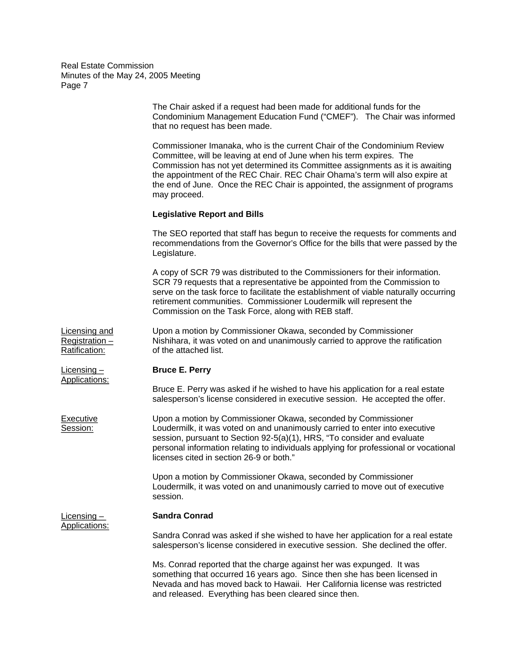|                                                 | The Chair asked if a request had been made for additional funds for the<br>Condominium Management Education Fund ("CMEF"). The Chair was informed<br>that no request has been made.                                                                                                                                                                                                                               |
|-------------------------------------------------|-------------------------------------------------------------------------------------------------------------------------------------------------------------------------------------------------------------------------------------------------------------------------------------------------------------------------------------------------------------------------------------------------------------------|
|                                                 | Commissioner Imanaka, who is the current Chair of the Condominium Review<br>Committee, will be leaving at end of June when his term expires. The<br>Commission has not yet determined its Committee assignments as it is awaiting<br>the appointment of the REC Chair. REC Chair Ohama's term will also expire at<br>the end of June. Once the REC Chair is appointed, the assignment of programs<br>may proceed. |
|                                                 | <b>Legislative Report and Bills</b>                                                                                                                                                                                                                                                                                                                                                                               |
|                                                 | The SEO reported that staff has begun to receive the requests for comments and<br>recommendations from the Governor's Office for the bills that were passed by the<br>Legislature.                                                                                                                                                                                                                                |
|                                                 | A copy of SCR 79 was distributed to the Commissioners for their information.<br>SCR 79 requests that a representative be appointed from the Commission to<br>serve on the task force to facilitate the establishment of viable naturally occurring<br>retirement communities. Commissioner Loudermilk will represent the<br>Commission on the Task Force, along with REB staff.                                   |
| Licensing and<br>Registration-<br>Ratification: | Upon a motion by Commissioner Okawa, seconded by Commissioner<br>Nishihara, it was voted on and unanimously carried to approve the ratification<br>of the attached list.                                                                                                                                                                                                                                          |
| <u>Licensing –</u>                              | <b>Bruce E. Perry</b>                                                                                                                                                                                                                                                                                                                                                                                             |
| Applications:                                   | Bruce E. Perry was asked if he wished to have his application for a real estate<br>salesperson's license considered in executive session. He accepted the offer.                                                                                                                                                                                                                                                  |
| <b>Executive</b><br>Session:                    | Upon a motion by Commissioner Okawa, seconded by Commissioner<br>Loudermilk, it was voted on and unanimously carried to enter into executive<br>session, pursuant to Section 92-5(a)(1), HRS, "To consider and evaluate<br>personal information relating to individuals applying for professional or vocational<br>licenses cited in section 26-9 or both."                                                       |
|                                                 | Upon a motion by Commissioner Okawa, seconded by Commissioner<br>Loudermilk, it was voted on and unanimously carried to move out of executive<br>session.                                                                                                                                                                                                                                                         |
| Licensing –                                     | <b>Sandra Conrad</b>                                                                                                                                                                                                                                                                                                                                                                                              |
| Applications:                                   | Sandra Conrad was asked if she wished to have her application for a real estate<br>salesperson's license considered in executive session. She declined the offer.                                                                                                                                                                                                                                                 |
|                                                 | Ms. Conrad reported that the charge against her was expunged. It was<br>something that occurred 16 years ago. Since then she has been licensed in<br>Nevada and has moved back to Hawaii. Her California license was restricted<br>and released. Everything has been cleared since then.                                                                                                                          |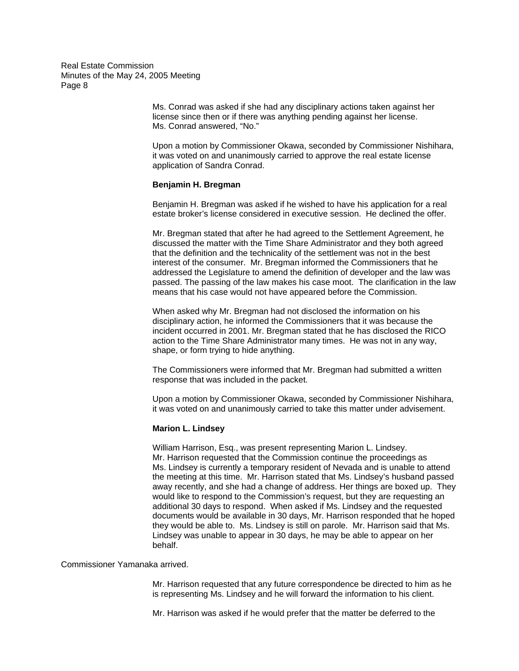> Ms. Conrad was asked if she had any disciplinary actions taken against her license since then or if there was anything pending against her license. Ms. Conrad answered, "No."

Upon a motion by Commissioner Okawa, seconded by Commissioner Nishihara, it was voted on and unanimously carried to approve the real estate license application of Sandra Conrad.

#### **Benjamin H. Bregman**

Benjamin H. Bregman was asked if he wished to have his application for a real estate broker's license considered in executive session. He declined the offer.

Mr. Bregman stated that after he had agreed to the Settlement Agreement, he discussed the matter with the Time Share Administrator and they both agreed that the definition and the technicality of the settlement was not in the best interest of the consumer. Mr. Bregman informed the Commissioners that he addressed the Legislature to amend the definition of developer and the law was passed. The passing of the law makes his case moot. The clarification in the law means that his case would not have appeared before the Commission.

When asked why Mr. Bregman had not disclosed the information on his disciplinary action, he informed the Commissioners that it was because the incident occurred in 2001. Mr. Bregman stated that he has disclosed the RICO action to the Time Share Administrator many times. He was not in any way, shape, or form trying to hide anything.

The Commissioners were informed that Mr. Bregman had submitted a written response that was included in the packet.

Upon a motion by Commissioner Okawa, seconded by Commissioner Nishihara, it was voted on and unanimously carried to take this matter under advisement.

#### **Marion L. Lindsey**

William Harrison, Esq., was present representing Marion L. Lindsey. Mr. Harrison requested that the Commission continue the proceedings as Ms. Lindsey is currently a temporary resident of Nevada and is unable to attend the meeting at this time. Mr. Harrison stated that Ms. Lindsey's husband passed away recently, and she had a change of address. Her things are boxed up. They would like to respond to the Commission's request, but they are requesting an additional 30 days to respond. When asked if Ms. Lindsey and the requested documents would be available in 30 days, Mr. Harrison responded that he hoped they would be able to. Ms. Lindsey is still on parole. Mr. Harrison said that Ms. Lindsey was unable to appear in 30 days, he may be able to appear on her behalf.

Commissioner Yamanaka arrived.

Mr. Harrison requested that any future correspondence be directed to him as he is representing Ms. Lindsey and he will forward the information to his client.

Mr. Harrison was asked if he would prefer that the matter be deferred to the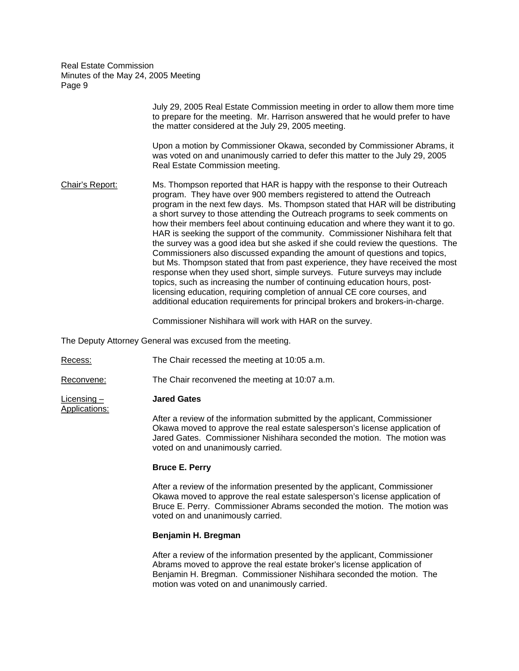|                 | July 29, 2005 Real Estate Commission meeting in order to allow them more time<br>to prepare for the meeting. Mr. Harrison answered that he would prefer to have<br>the matter considered at the July 29, 2005 meeting.                                                                                                                                                                                                                                                                                                                                                                                                                                                                                                                                                                                                                                                                                                                                                                                                                                                 |
|-----------------|------------------------------------------------------------------------------------------------------------------------------------------------------------------------------------------------------------------------------------------------------------------------------------------------------------------------------------------------------------------------------------------------------------------------------------------------------------------------------------------------------------------------------------------------------------------------------------------------------------------------------------------------------------------------------------------------------------------------------------------------------------------------------------------------------------------------------------------------------------------------------------------------------------------------------------------------------------------------------------------------------------------------------------------------------------------------|
|                 | Upon a motion by Commissioner Okawa, seconded by Commissioner Abrams, it<br>was voted on and unanimously carried to defer this matter to the July 29, 2005<br>Real Estate Commission meeting.                                                                                                                                                                                                                                                                                                                                                                                                                                                                                                                                                                                                                                                                                                                                                                                                                                                                          |
| Chair's Report: | Ms. Thompson reported that HAR is happy with the response to their Outreach<br>program. They have over 900 members registered to attend the Outreach<br>program in the next few days. Ms. Thompson stated that HAR will be distributing<br>a short survey to those attending the Outreach programs to seek comments on<br>how their members feel about continuing education and where they want it to go.<br>HAR is seeking the support of the community. Commissioner Nishihara felt that<br>the survey was a good idea but she asked if she could review the questions. The<br>Commissioners also discussed expanding the amount of questions and topics,<br>but Ms. Thompson stated that from past experience, they have received the most<br>response when they used short, simple surveys. Future surveys may include<br>topics, such as increasing the number of continuing education hours, post-<br>licensing education, requiring completion of annual CE core courses, and<br>additional education requirements for principal brokers and brokers-in-charge. |

Commissioner Nishihara will work with HAR on the survey.

The Deputy Attorney General was excused from the meeting.

Recess: The Chair recessed the meeting at 10:05 a.m.

Reconvene: The Chair reconvened the meeting at 10:07 a.m.

Licensing – **Jared Gates** 

Applications:

After a review of the information submitted by the applicant, Commissioner Okawa moved to approve the real estate salesperson's license application of Jared Gates. Commissioner Nishihara seconded the motion. The motion was voted on and unanimously carried.

#### **Bruce E. Perry**

After a review of the information presented by the applicant, Commissioner Okawa moved to approve the real estate salesperson's license application of Bruce E. Perry. Commissioner Abrams seconded the motion. The motion was voted on and unanimously carried.

### **Benjamin H. Bregman**

After a review of the information presented by the applicant, Commissioner Abrams moved to approve the real estate broker's license application of Benjamin H. Bregman. Commissioner Nishihara seconded the motion. The motion was voted on and unanimously carried.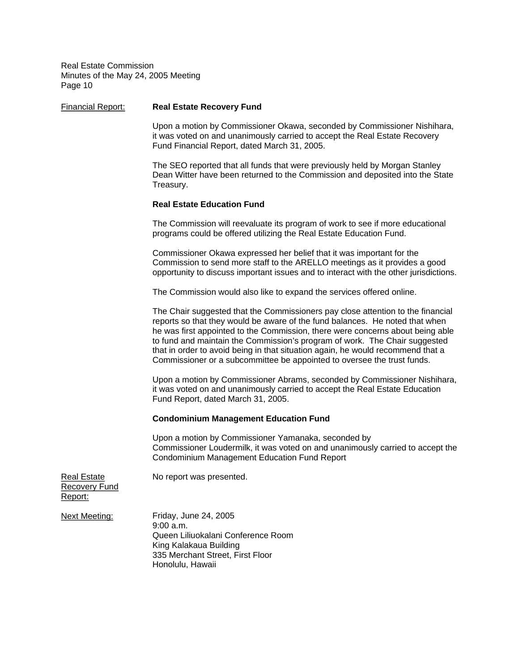| <b>Financial Report:</b>                              | <b>Real Estate Recovery Fund</b>                                                                                                                                                                                                                                                                                                                                                                                                                                                              |
|-------------------------------------------------------|-----------------------------------------------------------------------------------------------------------------------------------------------------------------------------------------------------------------------------------------------------------------------------------------------------------------------------------------------------------------------------------------------------------------------------------------------------------------------------------------------|
|                                                       | Upon a motion by Commissioner Okawa, seconded by Commissioner Nishihara,<br>it was voted on and unanimously carried to accept the Real Estate Recovery<br>Fund Financial Report, dated March 31, 2005.                                                                                                                                                                                                                                                                                        |
|                                                       | The SEO reported that all funds that were previously held by Morgan Stanley<br>Dean Witter have been returned to the Commission and deposited into the State<br>Treasury.                                                                                                                                                                                                                                                                                                                     |
|                                                       | <b>Real Estate Education Fund</b>                                                                                                                                                                                                                                                                                                                                                                                                                                                             |
|                                                       | The Commission will reevaluate its program of work to see if more educational<br>programs could be offered utilizing the Real Estate Education Fund.                                                                                                                                                                                                                                                                                                                                          |
|                                                       | Commissioner Okawa expressed her belief that it was important for the<br>Commission to send more staff to the ARELLO meetings as it provides a good<br>opportunity to discuss important issues and to interact with the other jurisdictions.                                                                                                                                                                                                                                                  |
|                                                       | The Commission would also like to expand the services offered online.                                                                                                                                                                                                                                                                                                                                                                                                                         |
|                                                       | The Chair suggested that the Commissioners pay close attention to the financial<br>reports so that they would be aware of the fund balances. He noted that when<br>he was first appointed to the Commission, there were concerns about being able<br>to fund and maintain the Commission's program of work. The Chair suggested<br>that in order to avoid being in that situation again, he would recommend that a<br>Commissioner or a subcommittee be appointed to oversee the trust funds. |
|                                                       | Upon a motion by Commissioner Abrams, seconded by Commissioner Nishihara,<br>it was voted on and unanimously carried to accept the Real Estate Education<br>Fund Report, dated March 31, 2005.                                                                                                                                                                                                                                                                                                |
|                                                       | <b>Condominium Management Education Fund</b>                                                                                                                                                                                                                                                                                                                                                                                                                                                  |
|                                                       | Upon a motion by Commissioner Yamanaka, seconded by<br>Commissioner Loudermilk, it was voted on and unanimously carried to accept the<br><b>Condominium Management Education Fund Report</b>                                                                                                                                                                                                                                                                                                  |
| <b>Real Estate</b><br><b>Recovery Fund</b><br>Report: | No report was presented.                                                                                                                                                                                                                                                                                                                                                                                                                                                                      |
| <b>Next Meeting:</b>                                  | Friday, June 24, 2005<br>$9:00$ a.m.<br>Queen Liliuokalani Conference Room<br>King Kalakaua Building<br>335 Merchant Street, First Floor<br>Honolulu, Hawaii                                                                                                                                                                                                                                                                                                                                  |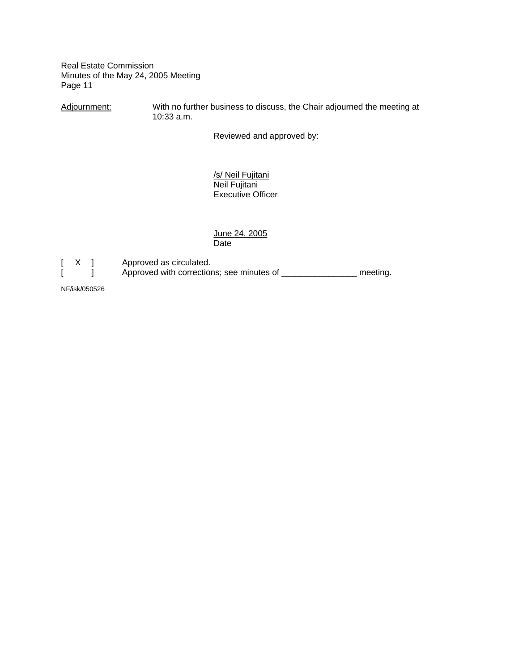Adjournment: With no further business to discuss, the Chair adjourned the meeting at 10:33 a.m.

Reviewed and approved by:

 /s/ Neil Fujitani Neil Fujitani Executive Officer

June 24, 2005<br>Date **Date Date** 



[ X ] Approved as circulated.<br>[ ] Approved with correction Approved with corrections; see minutes of \_\_\_\_\_\_\_\_\_\_\_\_\_\_\_\_\_\_ meeting.

NF/isk/050526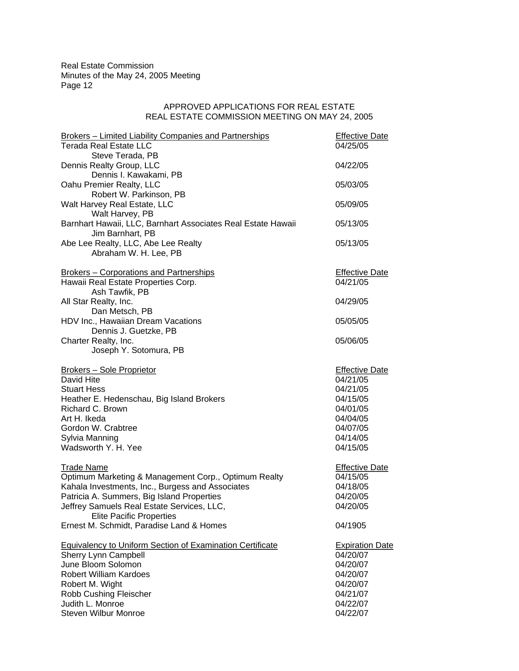# APPROVED APPLICATIONS FOR REAL ESTATE REAL ESTATE COMMISSION MEETING ON MAY 24, 2005

| <b>Brokers - Limited Liability Companies and Partnerships</b>    | <b>Effective Date</b>  |
|------------------------------------------------------------------|------------------------|
| <b>Terada Real Estate LLC</b>                                    | 04/25/05               |
| Steve Terada, PB                                                 |                        |
| Dennis Realty Group, LLC                                         | 04/22/05               |
| Dennis I. Kawakami, PB                                           |                        |
| Oahu Premier Realty, LLC                                         | 05/03/05               |
| Robert W. Parkinson, PB                                          |                        |
| Walt Harvey Real Estate, LLC                                     | 05/09/05               |
| Walt Harvey, PB                                                  |                        |
| Barnhart Hawaii, LLC, Barnhart Associates Real Estate Hawaii     | 05/13/05               |
| Jim Barnhart, PB                                                 |                        |
| Abe Lee Realty, LLC, Abe Lee Realty                              | 05/13/05               |
| Abraham W. H. Lee, PB                                            |                        |
| <b>Brokers - Corporations and Partnerships</b>                   | <b>Effective Date</b>  |
| Hawaii Real Estate Properties Corp.                              | 04/21/05               |
| Ash Tawfik, PB                                                   |                        |
| All Star Realty, Inc.                                            | 04/29/05               |
| Dan Metsch, PB                                                   |                        |
| HDV Inc., Hawaiian Dream Vacations                               | 05/05/05               |
| Dennis J. Guetzke, PB                                            |                        |
| Charter Realty, Inc.                                             | 05/06/05               |
| Joseph Y. Sotomura, PB                                           |                        |
|                                                                  |                        |
| <b>Brokers - Sole Proprietor</b>                                 | <b>Effective Date</b>  |
| David Hite                                                       | 04/21/05               |
| <b>Stuart Hess</b>                                               | 04/21/05<br>04/15/05   |
| Heather E. Hedenschau, Big Island Brokers<br>Richard C. Brown    | 04/01/05               |
| Art H. Ikeda                                                     | 04/04/05               |
| Gordon W. Crabtree                                               | 04/07/05               |
| Sylvia Manning                                                   | 04/14/05               |
| Wadsworth Y. H. Yee                                              | 04/15/05               |
|                                                                  |                        |
| <b>Trade Name</b>                                                | <b>Effective Date</b>  |
| Optimum Marketing & Management Corp., Optimum Realty             | 04/15/05               |
| Kahala Investments, Inc., Burgess and Associates                 | 04/18/05               |
| Patricia A. Summers, Big Island Properties                       | 04/20/05               |
| Jeffrey Samuels Real Estate Services, LLC,                       | 04/20/05               |
| <b>Elite Pacific Properties</b>                                  |                        |
| Ernest M. Schmidt, Paradise Land & Homes                         | 04/1905                |
| <b>Equivalency to Uniform Section of Examination Certificate</b> | <b>Expiration Date</b> |
| Sherry Lynn Campbell                                             | 04/20/07               |
| June Bloom Solomon                                               | 04/20/07               |
| <b>Robert William Kardoes</b>                                    | 04/20/07               |
| Robert M. Wight                                                  | 04/20/07               |
| Robb Cushing Fleischer                                           | 04/21/07               |
| Judith L. Monroe                                                 | 04/22/07               |
| <b>Steven Wilbur Monroe</b>                                      | 04/22/07               |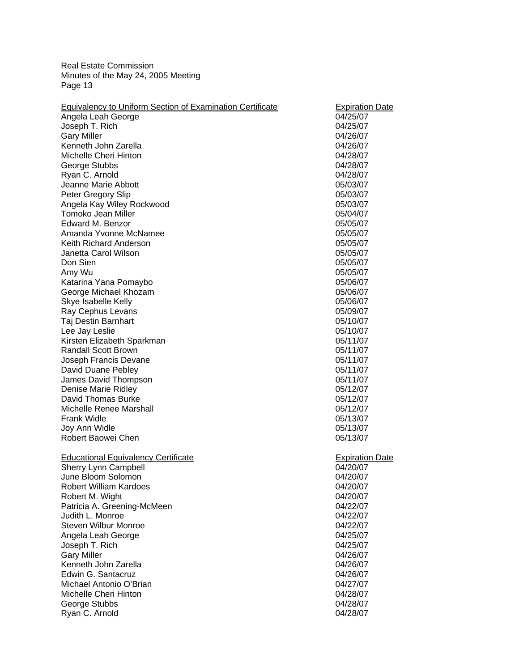| 04/25/07<br>Angela Leah George<br>Joseph T. Rich<br>04/25/07<br><b>Gary Miller</b><br>04/26/07<br>Kenneth John Zarella<br>04/26/07<br>Michelle Cheri Hinton<br>04/28/07<br>George Stubbs<br>04/28/07<br>Ryan C. Arnold<br>04/28/07<br>Jeanne Marie Abbott<br>05/03/07<br>Peter Gregory Slip<br>05/03/07<br>Angela Kay Wiley Rockwood<br>05/03/07<br>Tomoko Jean Miller<br>05/04/07<br>Edward M. Benzor<br>05/05/07<br>Amanda Yvonne McNamee<br>05/05/07<br>Keith Richard Anderson<br>05/05/07<br>Janetta Carol Wilson<br>05/05/07<br>Don Sien<br>05/05/07<br>Amy Wu<br>05/05/07<br>Katarina Yana Pomaybo<br>05/06/07<br>George Michael Khozam<br>05/06/07<br>Skye Isabelle Kelly<br>05/06/07<br>Ray Cephus Levans<br>05/09/07<br>Taj Destin Barnhart<br>05/10/07<br>Lee Jay Leslie<br>05/10/07<br>Kirsten Elizabeth Sparkman<br>05/11/07<br><b>Randall Scott Brown</b><br>05/11/07<br>Joseph Francis Devane<br>05/11/07<br>David Duane Pebley<br>05/11/07<br>James David Thompson<br>05/11/07<br>Denise Marie Ridley<br>05/12/07<br>David Thomas Burke<br>05/12/07<br>Michelle Renee Marshall<br>05/12/07<br><b>Frank Widle</b><br>05/13/07<br>Joy Ann Widle<br>05/13/07<br>Robert Baowei Chen<br>05/13/07<br><b>Educational Equivalency Certificate</b><br><b>Expiration Date</b><br>Sherry Lynn Campbell<br>04/20/07<br>June Bloom Solomon<br>04/20/07<br><b>Robert William Kardoes</b><br>04/20/07<br>04/20/07<br>Robert M. Wight<br>Patricia A. Greening-McMeen<br>04/22/07<br>Judith L. Monroe<br>04/22/07<br><b>Steven Wilbur Monroe</b><br>04/22/07<br>Angela Leah George<br>04/25/07<br>Joseph T. Rich<br>04/25/07<br><b>Gary Miller</b><br>04/26/07<br>Kenneth John Zarella<br>04/26/07<br>Edwin G. Santacruz<br>04/26/07<br>Michael Antonio O'Brian<br>04/27/07<br>Michelle Cheri Hinton<br>04/28/07<br>George Stubbs<br>04/28/07 | <b>Equivalency to Uniform Section of Examination Certificate</b> | <b>Expiration Date</b> |
|---------------------------------------------------------------------------------------------------------------------------------------------------------------------------------------------------------------------------------------------------------------------------------------------------------------------------------------------------------------------------------------------------------------------------------------------------------------------------------------------------------------------------------------------------------------------------------------------------------------------------------------------------------------------------------------------------------------------------------------------------------------------------------------------------------------------------------------------------------------------------------------------------------------------------------------------------------------------------------------------------------------------------------------------------------------------------------------------------------------------------------------------------------------------------------------------------------------------------------------------------------------------------------------------------------------------------------------------------------------------------------------------------------------------------------------------------------------------------------------------------------------------------------------------------------------------------------------------------------------------------------------------------------------------------------------------------------------------------------------------------------------------------------------------------------------------------------------------|------------------------------------------------------------------|------------------------|
|                                                                                                                                                                                                                                                                                                                                                                                                                                                                                                                                                                                                                                                                                                                                                                                                                                                                                                                                                                                                                                                                                                                                                                                                                                                                                                                                                                                                                                                                                                                                                                                                                                                                                                                                                                                                                                             |                                                                  |                        |
|                                                                                                                                                                                                                                                                                                                                                                                                                                                                                                                                                                                                                                                                                                                                                                                                                                                                                                                                                                                                                                                                                                                                                                                                                                                                                                                                                                                                                                                                                                                                                                                                                                                                                                                                                                                                                                             |                                                                  |                        |
|                                                                                                                                                                                                                                                                                                                                                                                                                                                                                                                                                                                                                                                                                                                                                                                                                                                                                                                                                                                                                                                                                                                                                                                                                                                                                                                                                                                                                                                                                                                                                                                                                                                                                                                                                                                                                                             |                                                                  |                        |
|                                                                                                                                                                                                                                                                                                                                                                                                                                                                                                                                                                                                                                                                                                                                                                                                                                                                                                                                                                                                                                                                                                                                                                                                                                                                                                                                                                                                                                                                                                                                                                                                                                                                                                                                                                                                                                             |                                                                  |                        |
|                                                                                                                                                                                                                                                                                                                                                                                                                                                                                                                                                                                                                                                                                                                                                                                                                                                                                                                                                                                                                                                                                                                                                                                                                                                                                                                                                                                                                                                                                                                                                                                                                                                                                                                                                                                                                                             |                                                                  |                        |
|                                                                                                                                                                                                                                                                                                                                                                                                                                                                                                                                                                                                                                                                                                                                                                                                                                                                                                                                                                                                                                                                                                                                                                                                                                                                                                                                                                                                                                                                                                                                                                                                                                                                                                                                                                                                                                             |                                                                  |                        |
|                                                                                                                                                                                                                                                                                                                                                                                                                                                                                                                                                                                                                                                                                                                                                                                                                                                                                                                                                                                                                                                                                                                                                                                                                                                                                                                                                                                                                                                                                                                                                                                                                                                                                                                                                                                                                                             |                                                                  |                        |
|                                                                                                                                                                                                                                                                                                                                                                                                                                                                                                                                                                                                                                                                                                                                                                                                                                                                                                                                                                                                                                                                                                                                                                                                                                                                                                                                                                                                                                                                                                                                                                                                                                                                                                                                                                                                                                             |                                                                  |                        |
|                                                                                                                                                                                                                                                                                                                                                                                                                                                                                                                                                                                                                                                                                                                                                                                                                                                                                                                                                                                                                                                                                                                                                                                                                                                                                                                                                                                                                                                                                                                                                                                                                                                                                                                                                                                                                                             |                                                                  |                        |
|                                                                                                                                                                                                                                                                                                                                                                                                                                                                                                                                                                                                                                                                                                                                                                                                                                                                                                                                                                                                                                                                                                                                                                                                                                                                                                                                                                                                                                                                                                                                                                                                                                                                                                                                                                                                                                             |                                                                  |                        |
|                                                                                                                                                                                                                                                                                                                                                                                                                                                                                                                                                                                                                                                                                                                                                                                                                                                                                                                                                                                                                                                                                                                                                                                                                                                                                                                                                                                                                                                                                                                                                                                                                                                                                                                                                                                                                                             |                                                                  |                        |
|                                                                                                                                                                                                                                                                                                                                                                                                                                                                                                                                                                                                                                                                                                                                                                                                                                                                                                                                                                                                                                                                                                                                                                                                                                                                                                                                                                                                                                                                                                                                                                                                                                                                                                                                                                                                                                             |                                                                  |                        |
|                                                                                                                                                                                                                                                                                                                                                                                                                                                                                                                                                                                                                                                                                                                                                                                                                                                                                                                                                                                                                                                                                                                                                                                                                                                                                                                                                                                                                                                                                                                                                                                                                                                                                                                                                                                                                                             |                                                                  |                        |
|                                                                                                                                                                                                                                                                                                                                                                                                                                                                                                                                                                                                                                                                                                                                                                                                                                                                                                                                                                                                                                                                                                                                                                                                                                                                                                                                                                                                                                                                                                                                                                                                                                                                                                                                                                                                                                             |                                                                  |                        |
|                                                                                                                                                                                                                                                                                                                                                                                                                                                                                                                                                                                                                                                                                                                                                                                                                                                                                                                                                                                                                                                                                                                                                                                                                                                                                                                                                                                                                                                                                                                                                                                                                                                                                                                                                                                                                                             |                                                                  |                        |
|                                                                                                                                                                                                                                                                                                                                                                                                                                                                                                                                                                                                                                                                                                                                                                                                                                                                                                                                                                                                                                                                                                                                                                                                                                                                                                                                                                                                                                                                                                                                                                                                                                                                                                                                                                                                                                             |                                                                  |                        |
|                                                                                                                                                                                                                                                                                                                                                                                                                                                                                                                                                                                                                                                                                                                                                                                                                                                                                                                                                                                                                                                                                                                                                                                                                                                                                                                                                                                                                                                                                                                                                                                                                                                                                                                                                                                                                                             |                                                                  |                        |
|                                                                                                                                                                                                                                                                                                                                                                                                                                                                                                                                                                                                                                                                                                                                                                                                                                                                                                                                                                                                                                                                                                                                                                                                                                                                                                                                                                                                                                                                                                                                                                                                                                                                                                                                                                                                                                             |                                                                  |                        |
|                                                                                                                                                                                                                                                                                                                                                                                                                                                                                                                                                                                                                                                                                                                                                                                                                                                                                                                                                                                                                                                                                                                                                                                                                                                                                                                                                                                                                                                                                                                                                                                                                                                                                                                                                                                                                                             |                                                                  |                        |
|                                                                                                                                                                                                                                                                                                                                                                                                                                                                                                                                                                                                                                                                                                                                                                                                                                                                                                                                                                                                                                                                                                                                                                                                                                                                                                                                                                                                                                                                                                                                                                                                                                                                                                                                                                                                                                             |                                                                  |                        |
|                                                                                                                                                                                                                                                                                                                                                                                                                                                                                                                                                                                                                                                                                                                                                                                                                                                                                                                                                                                                                                                                                                                                                                                                                                                                                                                                                                                                                                                                                                                                                                                                                                                                                                                                                                                                                                             |                                                                  |                        |
|                                                                                                                                                                                                                                                                                                                                                                                                                                                                                                                                                                                                                                                                                                                                                                                                                                                                                                                                                                                                                                                                                                                                                                                                                                                                                                                                                                                                                                                                                                                                                                                                                                                                                                                                                                                                                                             |                                                                  |                        |
|                                                                                                                                                                                                                                                                                                                                                                                                                                                                                                                                                                                                                                                                                                                                                                                                                                                                                                                                                                                                                                                                                                                                                                                                                                                                                                                                                                                                                                                                                                                                                                                                                                                                                                                                                                                                                                             |                                                                  |                        |
|                                                                                                                                                                                                                                                                                                                                                                                                                                                                                                                                                                                                                                                                                                                                                                                                                                                                                                                                                                                                                                                                                                                                                                                                                                                                                                                                                                                                                                                                                                                                                                                                                                                                                                                                                                                                                                             |                                                                  |                        |
|                                                                                                                                                                                                                                                                                                                                                                                                                                                                                                                                                                                                                                                                                                                                                                                                                                                                                                                                                                                                                                                                                                                                                                                                                                                                                                                                                                                                                                                                                                                                                                                                                                                                                                                                                                                                                                             |                                                                  |                        |
|                                                                                                                                                                                                                                                                                                                                                                                                                                                                                                                                                                                                                                                                                                                                                                                                                                                                                                                                                                                                                                                                                                                                                                                                                                                                                                                                                                                                                                                                                                                                                                                                                                                                                                                                                                                                                                             |                                                                  |                        |
|                                                                                                                                                                                                                                                                                                                                                                                                                                                                                                                                                                                                                                                                                                                                                                                                                                                                                                                                                                                                                                                                                                                                                                                                                                                                                                                                                                                                                                                                                                                                                                                                                                                                                                                                                                                                                                             |                                                                  |                        |
|                                                                                                                                                                                                                                                                                                                                                                                                                                                                                                                                                                                                                                                                                                                                                                                                                                                                                                                                                                                                                                                                                                                                                                                                                                                                                                                                                                                                                                                                                                                                                                                                                                                                                                                                                                                                                                             |                                                                  |                        |
|                                                                                                                                                                                                                                                                                                                                                                                                                                                                                                                                                                                                                                                                                                                                                                                                                                                                                                                                                                                                                                                                                                                                                                                                                                                                                                                                                                                                                                                                                                                                                                                                                                                                                                                                                                                                                                             |                                                                  |                        |
|                                                                                                                                                                                                                                                                                                                                                                                                                                                                                                                                                                                                                                                                                                                                                                                                                                                                                                                                                                                                                                                                                                                                                                                                                                                                                                                                                                                                                                                                                                                                                                                                                                                                                                                                                                                                                                             |                                                                  |                        |
|                                                                                                                                                                                                                                                                                                                                                                                                                                                                                                                                                                                                                                                                                                                                                                                                                                                                                                                                                                                                                                                                                                                                                                                                                                                                                                                                                                                                                                                                                                                                                                                                                                                                                                                                                                                                                                             |                                                                  |                        |
|                                                                                                                                                                                                                                                                                                                                                                                                                                                                                                                                                                                                                                                                                                                                                                                                                                                                                                                                                                                                                                                                                                                                                                                                                                                                                                                                                                                                                                                                                                                                                                                                                                                                                                                                                                                                                                             |                                                                  |                        |
|                                                                                                                                                                                                                                                                                                                                                                                                                                                                                                                                                                                                                                                                                                                                                                                                                                                                                                                                                                                                                                                                                                                                                                                                                                                                                                                                                                                                                                                                                                                                                                                                                                                                                                                                                                                                                                             |                                                                  |                        |
|                                                                                                                                                                                                                                                                                                                                                                                                                                                                                                                                                                                                                                                                                                                                                                                                                                                                                                                                                                                                                                                                                                                                                                                                                                                                                                                                                                                                                                                                                                                                                                                                                                                                                                                                                                                                                                             |                                                                  |                        |
|                                                                                                                                                                                                                                                                                                                                                                                                                                                                                                                                                                                                                                                                                                                                                                                                                                                                                                                                                                                                                                                                                                                                                                                                                                                                                                                                                                                                                                                                                                                                                                                                                                                                                                                                                                                                                                             |                                                                  |                        |
|                                                                                                                                                                                                                                                                                                                                                                                                                                                                                                                                                                                                                                                                                                                                                                                                                                                                                                                                                                                                                                                                                                                                                                                                                                                                                                                                                                                                                                                                                                                                                                                                                                                                                                                                                                                                                                             |                                                                  |                        |
|                                                                                                                                                                                                                                                                                                                                                                                                                                                                                                                                                                                                                                                                                                                                                                                                                                                                                                                                                                                                                                                                                                                                                                                                                                                                                                                                                                                                                                                                                                                                                                                                                                                                                                                                                                                                                                             |                                                                  |                        |
|                                                                                                                                                                                                                                                                                                                                                                                                                                                                                                                                                                                                                                                                                                                                                                                                                                                                                                                                                                                                                                                                                                                                                                                                                                                                                                                                                                                                                                                                                                                                                                                                                                                                                                                                                                                                                                             |                                                                  |                        |
|                                                                                                                                                                                                                                                                                                                                                                                                                                                                                                                                                                                                                                                                                                                                                                                                                                                                                                                                                                                                                                                                                                                                                                                                                                                                                                                                                                                                                                                                                                                                                                                                                                                                                                                                                                                                                                             |                                                                  |                        |
|                                                                                                                                                                                                                                                                                                                                                                                                                                                                                                                                                                                                                                                                                                                                                                                                                                                                                                                                                                                                                                                                                                                                                                                                                                                                                                                                                                                                                                                                                                                                                                                                                                                                                                                                                                                                                                             |                                                                  |                        |
|                                                                                                                                                                                                                                                                                                                                                                                                                                                                                                                                                                                                                                                                                                                                                                                                                                                                                                                                                                                                                                                                                                                                                                                                                                                                                                                                                                                                                                                                                                                                                                                                                                                                                                                                                                                                                                             |                                                                  |                        |
|                                                                                                                                                                                                                                                                                                                                                                                                                                                                                                                                                                                                                                                                                                                                                                                                                                                                                                                                                                                                                                                                                                                                                                                                                                                                                                                                                                                                                                                                                                                                                                                                                                                                                                                                                                                                                                             |                                                                  |                        |
|                                                                                                                                                                                                                                                                                                                                                                                                                                                                                                                                                                                                                                                                                                                                                                                                                                                                                                                                                                                                                                                                                                                                                                                                                                                                                                                                                                                                                                                                                                                                                                                                                                                                                                                                                                                                                                             |                                                                  |                        |
|                                                                                                                                                                                                                                                                                                                                                                                                                                                                                                                                                                                                                                                                                                                                                                                                                                                                                                                                                                                                                                                                                                                                                                                                                                                                                                                                                                                                                                                                                                                                                                                                                                                                                                                                                                                                                                             |                                                                  |                        |
|                                                                                                                                                                                                                                                                                                                                                                                                                                                                                                                                                                                                                                                                                                                                                                                                                                                                                                                                                                                                                                                                                                                                                                                                                                                                                                                                                                                                                                                                                                                                                                                                                                                                                                                                                                                                                                             |                                                                  |                        |
|                                                                                                                                                                                                                                                                                                                                                                                                                                                                                                                                                                                                                                                                                                                                                                                                                                                                                                                                                                                                                                                                                                                                                                                                                                                                                                                                                                                                                                                                                                                                                                                                                                                                                                                                                                                                                                             |                                                                  |                        |
|                                                                                                                                                                                                                                                                                                                                                                                                                                                                                                                                                                                                                                                                                                                                                                                                                                                                                                                                                                                                                                                                                                                                                                                                                                                                                                                                                                                                                                                                                                                                                                                                                                                                                                                                                                                                                                             |                                                                  |                        |
|                                                                                                                                                                                                                                                                                                                                                                                                                                                                                                                                                                                                                                                                                                                                                                                                                                                                                                                                                                                                                                                                                                                                                                                                                                                                                                                                                                                                                                                                                                                                                                                                                                                                                                                                                                                                                                             |                                                                  |                        |
|                                                                                                                                                                                                                                                                                                                                                                                                                                                                                                                                                                                                                                                                                                                                                                                                                                                                                                                                                                                                                                                                                                                                                                                                                                                                                                                                                                                                                                                                                                                                                                                                                                                                                                                                                                                                                                             |                                                                  |                        |
|                                                                                                                                                                                                                                                                                                                                                                                                                                                                                                                                                                                                                                                                                                                                                                                                                                                                                                                                                                                                                                                                                                                                                                                                                                                                                                                                                                                                                                                                                                                                                                                                                                                                                                                                                                                                                                             |                                                                  |                        |
|                                                                                                                                                                                                                                                                                                                                                                                                                                                                                                                                                                                                                                                                                                                                                                                                                                                                                                                                                                                                                                                                                                                                                                                                                                                                                                                                                                                                                                                                                                                                                                                                                                                                                                                                                                                                                                             |                                                                  |                        |
|                                                                                                                                                                                                                                                                                                                                                                                                                                                                                                                                                                                                                                                                                                                                                                                                                                                                                                                                                                                                                                                                                                                                                                                                                                                                                                                                                                                                                                                                                                                                                                                                                                                                                                                                                                                                                                             | Ryan C. Arnold                                                   | 04/28/07               |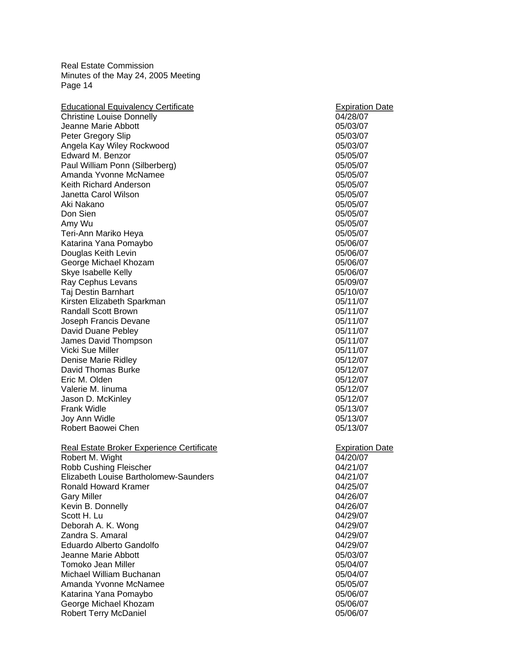| <b>Educational Equivalency Certificate</b>       | <b>Expiration Date</b> |
|--------------------------------------------------|------------------------|
| <b>Christine Louise Donnelly</b>                 | 04/28/07               |
| Jeanne Marie Abbott                              | 05/03/07               |
| Peter Gregory Slip                               | 05/03/07               |
| Angela Kay Wiley Rockwood                        | 05/03/07               |
| Edward M. Benzor                                 | 05/05/07               |
| Paul William Ponn (Silberberg)                   | 05/05/07               |
| Amanda Yvonne McNamee                            | 05/05/07               |
| Keith Richard Anderson                           | 05/05/07               |
| Janetta Carol Wilson                             | 05/05/07               |
| Aki Nakano                                       | 05/05/07               |
| Don Sien                                         | 05/05/07               |
| Amy Wu                                           | 05/05/07               |
| Teri-Ann Mariko Heya                             | 05/05/07               |
| Katarina Yana Pomaybo                            | 05/06/07               |
| Douglas Keith Levin                              | 05/06/07               |
| George Michael Khozam                            | 05/06/07               |
| Skye Isabelle Kelly                              | 05/06/07               |
| Ray Cephus Levans                                | 05/09/07               |
| Taj Destin Barnhart                              | 05/10/07               |
| Kirsten Elizabeth Sparkman                       | 05/11/07               |
| <b>Randall Scott Brown</b>                       | 05/11/07               |
| Joseph Francis Devane                            | 05/11/07               |
| David Duane Pebley                               | 05/11/07               |
| James David Thompson                             | 05/11/07               |
| Vicki Sue Miller                                 | 05/11/07               |
| Denise Marie Ridley                              | 05/12/07               |
| David Thomas Burke                               | 05/12/07               |
| Eric M. Olden                                    | 05/12/07               |
| Valerie M. linuma                                | 05/12/07               |
| Jason D. McKinley                                | 05/12/07               |
| <b>Frank Widle</b>                               | 05/13/07               |
| Joy Ann Widle                                    | 05/13/07               |
| Robert Baowei Chen                               | 05/13/07               |
| <b>Real Estate Broker Experience Certificate</b> | <b>Expiration Date</b> |
| Robert M. Wight                                  | 04/20/07               |
| Robb Cushing Fleischer                           | 04/21/07               |
| Elizabeth Louise Bartholomew-Saunders            | 04/21/07               |
| <b>Ronald Howard Kramer</b>                      | 04/25/07               |
| <b>Gary Miller</b>                               | 04/26/07               |
| Kevin B. Donnelly                                | 04/26/07               |
| Scott H. Lu                                      | 04/29/07               |
| Deborah A. K. Wong                               | 04/29/07               |
| Zandra S. Amaral                                 | 04/29/07               |
| Eduardo Alberto Gandolfo                         | 04/29/07               |
| Jeanne Marie Abbott                              | 05/03/07               |
| Tomoko Jean Miller                               | 05/04/07               |
| Michael William Buchanan                         | 05/04/07               |
| Amanda Yvonne McNamee                            | 05/05/07               |
| Katarina Yana Pomaybo                            | 05/06/07               |
| George Michael Khozam                            | 05/06/07               |
| Robert Terry McDaniel                            | 05/06/07               |
|                                                  |                        |